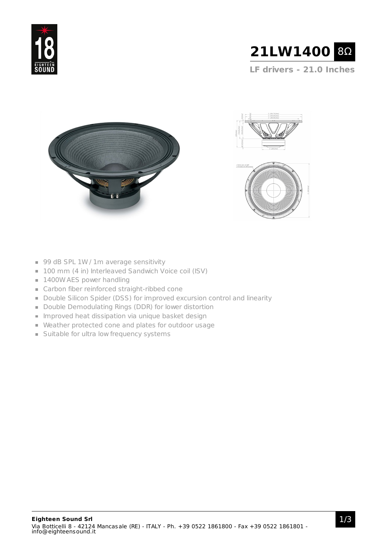



**LF drivers - 21.0 Inches**





- 99 dB SPL 1W / 1m average sensitivity
- 100 mm (4 in) Interleaved Sandwich Voice coil (ISV)
- 1400W AES power handling
- Carbon fiber reinforced straight-ribbed cone
- Double Silicon Spider (DSS) for improved excursion control and linearity
- Double Demodulating Rings (DDR) for lower distortion
- **Improved heat dissipation via unique basket design**
- Weather protected cone and plates for outdoor usage
- **Suitable for ultra low frequency systems**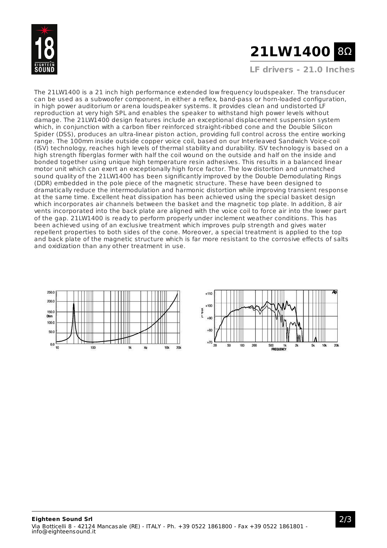

## **21LW1400** 8Ω

**LF drivers - 21.0 Inches**

The 21LW1400 is a 21 inch high performance extended low frequency loudspeaker. The transducer can be used as a subwoofer component, in either a reflex, band-pass or horn-loaded configuration, in high power auditorium or arena loudspeaker systems. It provides clean and undistorted LF reproduction at very high SPL and enables the speaker to withstand high power levels without damage. The 21LW1400 design features include an exceptional displacement suspension system which, in conjunction with a carbon fiber reinforced straight-ribbed cone and the Double Silicon Spider (DSS), produces an ultra-linear piston action, providing full control across the entire working range. The 100mm inside outside copper voice coil, based on our Interleaved Sandwich Voice-coil (ISV) technology, reaches high levels of thermal stability and durability. ISV technology is based on a high strength fiberglas former with half the coil wound on the outside and half on the inside and bonded together using unique high temperature resin adhesives. This results in a balanced linear motor unit which can exert an exceptionally high force factor. The low distortion and unmatched sound quality of the 21LW1400 has been significantly improved by the Double Demodulating Rings (DDR) embedded in the pole piece of the magnetic structure. These have been designed to dramatically reduce the intermodulation and harmonic distortion while improving transient response at the same time. Excellent heat dissipation has been achieved using the special basket design which incorporates air channels between the basket and the magnetic top plate. In addition, 8 air vents incorporated into the back plate are aligned with the voice coil to force air into the lower part of the gap. 21LW1400 is ready to perform properly under inclement weather conditions. This has been achieved using of an exclusive treatment which improves pulp strength and gives water repellent properties to both sides of the cone. Moreover, a special treatment is applied to the top and back plate of the magnetic structure which is far more resistant to the corrosive effects of salts and oxidization than any other treatment in use.